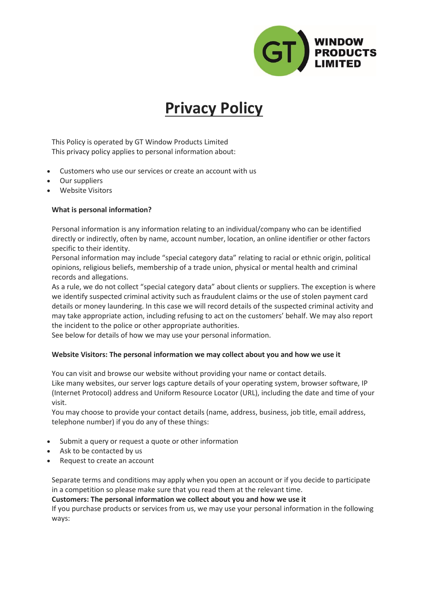

# **Privacy Policy**

This Policy is operated by GT Window Products Limited This privacy policy applies to personal information about:

- Customers who use our services or create an account with us
- Our suppliers
- Website Visitors

### **What is personal information?**

Personal information is any information relating to an individual/company who can be identified directly or indirectly, often by name, account number, location, an online identifier or other factors specific to their identity.

Personal information may include "special category data" relating to racial or ethnic origin, political opinions, religious beliefs, membership of a trade union, physical or mental health and criminal records and allegations.

As a rule, we do not collect "special category data" about clients or suppliers. The exception is where we identify suspected criminal activity such as fraudulent claims or the use of stolen payment card details or money laundering. In this case we will record details of the suspected criminal activity and may take appropriate action, including refusing to act on the customers' behalf. We may also report the incident to the police or other appropriate authorities.

See below for details of how we may use your personal information.

#### **Website Visitors: The personal information we may collect about you and how we use it**

You can visit and browse our website without providing your name or contact details. Like many websites, our server logs capture details of your operating system, browser software, IP (Internet Protocol) address and Uniform Resource Locator (URL), including the date and time of your visit.

You may choose to provide your contact details (name, address, business, job title, email address, telephone number) if you do any of these things:

- Submit a query or request a quote or other information
- Ask to be contacted by us
- Request to create an account

Separate terms and conditions may apply when you open an account or if you decide to participate in a competition so please make sure that you read them at the relevant time.

**Customers: The personal information we collect about you and how we use it**

If you purchase products or services from us, we may use your personal information in the following ways: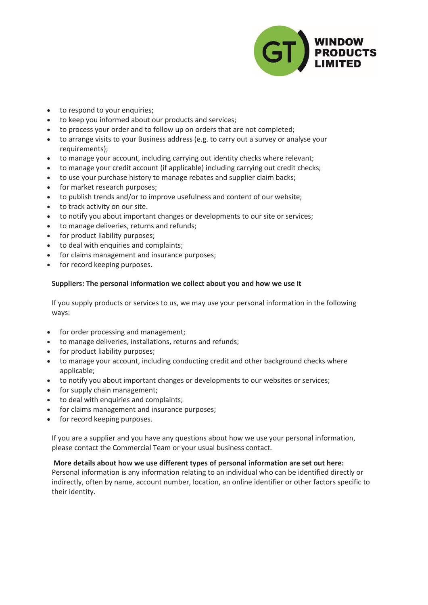

- to respond to your enquiries;
- to keep you informed about our products and services;
- to process your order and to follow up on orders that are not completed;
- to arrange visits to your Business address (e.g. to carry out a survey or analyse your requirements);
- to manage your account, including carrying out identity checks where relevant;
- to manage your credit account (if applicable) including carrying out credit checks;
- to use your purchase history to manage rebates and supplier claim backs;
- for market research purposes;
- to publish trends and/or to improve usefulness and content of our website;
- to track activity on our site.
- to notify you about important changes or developments to our site or services;
- to manage deliveries, returns and refunds;
- for product liability purposes;
- to deal with enquiries and complaints;
- for claims management and insurance purposes;
- for record keeping purposes.

### **Suppliers: The personal information we collect about you and how we use it**

If you supply products or services to us, we may use your personal information in the following ways:

- for order processing and management;
- to manage deliveries, installations, returns and refunds;
- for product liability purposes;
- to manage your account, including conducting credit and other background checks where applicable;
- to notify you about important changes or developments to our websites or services;
- for supply chain management;
- to deal with enquiries and complaints;
- for claims management and insurance purposes;
- for record keeping purposes.

If you are a supplier and you have any questions about how we use your personal information, please contact the Commercial Team or your usual business contact.

# **More details about how we use different types of personal information are set out here:**

Personal information is any information relating to an individual who can be identified directly or indirectly, often by name, account number, location, an online identifier or other factors specific to their identity.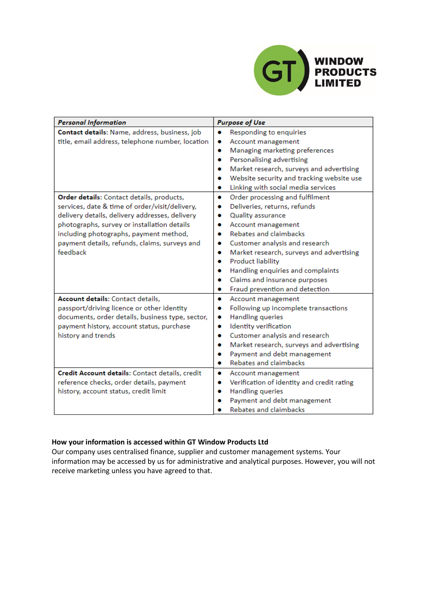

| <b>Personal Information</b>                      | <b>Purpose of Use</b>                           |
|--------------------------------------------------|-------------------------------------------------|
| Contact details: Name, address, business, job    | Responding to enquiries<br>۰                    |
| title, email address, telephone number, location | Account management<br>۰                         |
|                                                  | Managing marketing preferences<br>۰             |
|                                                  | Personalising advertising<br>۰                  |
|                                                  | Market research, surveys and advertising<br>۰   |
|                                                  | Website security and tracking website use<br>۰  |
|                                                  | Linking with social media services<br>۰         |
| Order details: Contact details, products,        | Order processing and fulfilment<br>۰            |
| services, date & time of order/visit/delivery,   | Deliveries, returns, refunds<br>۰               |
| delivery details, delivery addresses, delivery   | Quality assurance<br>۰                          |
| photographs, survey or installation details      | Account management<br>۰                         |
| including photographs, payment method,           | Rebates and claimbacks<br>۰                     |
| payment details, refunds, claims, surveys and    | Customer analysis and research<br>۰             |
| feedback                                         | Market research, surveys and advertising<br>۰   |
|                                                  | <b>Product liability</b><br>۰                   |
|                                                  | Handling enquiries and complaints<br>۰          |
|                                                  | Claims and insurance purposes<br>۰              |
|                                                  | Fraud prevention and detection<br>۰             |
| Account details: Contact details,                | Account management<br>۰                         |
| passport/driving licence or other identity       | Following up incomplete transactions<br>۰       |
| documents, order details, business type, sector, | <b>Handling queries</b><br>۰                    |
| payment history, account status, purchase        | Identity verification<br>۰                      |
| history and trends                               | Customer analysis and research<br>۰             |
|                                                  | Market research, surveys and advertising<br>۰   |
|                                                  | Payment and debt management<br>۰                |
|                                                  | <b>Rebates and claimbacks</b><br>۰              |
| Credit Account details: Contact details, credit  | Account management<br>۰                         |
| reference checks, order details, payment         | Verification of identity and credit rating<br>۰ |
| history, account status, credit limit            | <b>Handling queries</b><br>۰                    |
|                                                  | Payment and debt management                     |
|                                                  | Rebates and claimbacks                          |

#### **How your information is accessed within GT Window Products Ltd**

Our company uses centralised finance, supplier and customer management systems. Your information may be accessed by us for administrative and analytical purposes. However, you will not receive marketing unless you have agreed to that.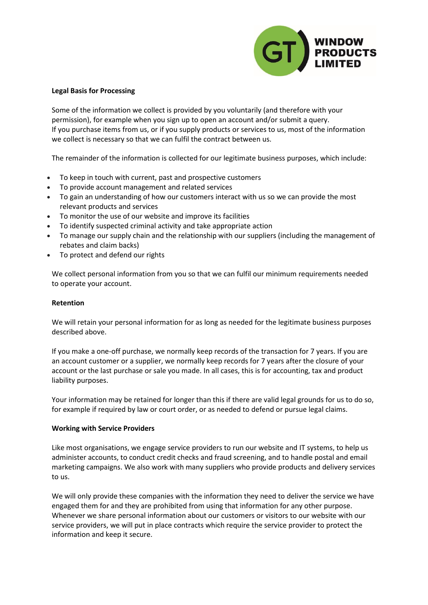

#### **Legal Basis for Processing**

Some of the information we collect is provided by you voluntarily (and therefore with your permission), for example when you sign up to open an account and/or submit a query. If you purchase items from us, or if you supply products or services to us, most of the information we collect is necessary so that we can fulfil the contract between us.

The remainder of the information is collected for our legitimate business purposes, which include:

- To keep in touch with current, past and prospective customers
- To provide account management and related services
- To gain an understanding of how our customers interact with us so we can provide the most relevant products and services
- To monitor the use of our website and improve its facilities
- To identify suspected criminal activity and take appropriate action
- To manage our supply chain and the relationship with our suppliers (including the management of rebates and claim backs)
- To protect and defend our rights

We collect personal information from you so that we can fulfil our minimum requirements needed to operate your account.

#### **Retention**

We will retain your personal information for as long as needed for the legitimate business purposes described above.

If you make a one-off purchase, we normally keep records of the transaction for 7 years. If you are an account customer or a supplier, we normally keep records for 7 years after the closure of your account or the last purchase or sale you made. In all cases, this is for accounting, tax and product liability purposes.

Your information may be retained for longer than this if there are valid legal grounds for us to do so, for example if required by law or court order, or as needed to defend or pursue legal claims.

#### **Working with Service Providers**

Like most organisations, we engage service providers to run our website and IT systems, to help us administer accounts, to conduct credit checks and fraud screening, and to handle postal and email marketing campaigns. We also work with many suppliers who provide products and delivery services to us.

We will only provide these companies with the information they need to deliver the service we have engaged them for and they are prohibited from using that information for any other purpose. Whenever we share personal information about our customers or visitors to our website with our service providers, we will put in place contracts which require the service provider to protect the information and keep it secure.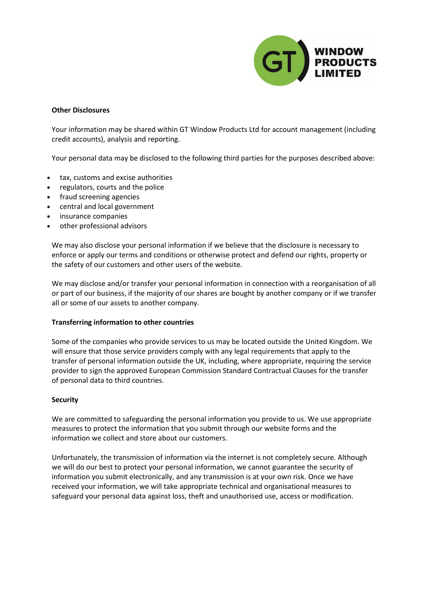

#### **Other Disclosures**

Your information may be shared within GT Window Products Ltd for account management (including credit accounts), analysis and reporting.

Your personal data may be disclosed to the following third parties for the purposes described above:

- tax, customs and excise authorities
- regulators, courts and the police
- fraud screening agencies
- central and local government
- insurance companies
- other professional advisors

We may also disclose your personal information if we believe that the disclosure is necessary to enforce or apply our terms and conditions or otherwise protect and defend our rights, property or the safety of our customers and other users of the website.

We may disclose and/or transfer your personal information in connection with a reorganisation of all or part of our business, if the majority of our shares are bought by another company or if we transfer all or some of our assets to another company.

#### **Transferring information to other countries**

Some of the companies who provide services to us may be located outside the United Kingdom. We will ensure that those service providers comply with any legal requirements that apply to the transfer of personal information outside the UK, including, where appropriate, requiring the service provider to sign the approved European Commission Standard Contractual Clauses for the transfer of personal data to third countries.

#### **Security**

We are committed to safeguarding the personal information you provide to us. We use appropriate measures to protect the information that you submit through our website forms and the information we collect and store about our customers.

Unfortunately, the transmission of information via the internet is not completely secure. Although we will do our best to protect your personal information, we cannot guarantee the security of information you submit electronically, and any transmission is at your own risk. Once we have received your information, we will take appropriate technical and organisational measures to safeguard your personal data against loss, theft and unauthorised use, access or modification.